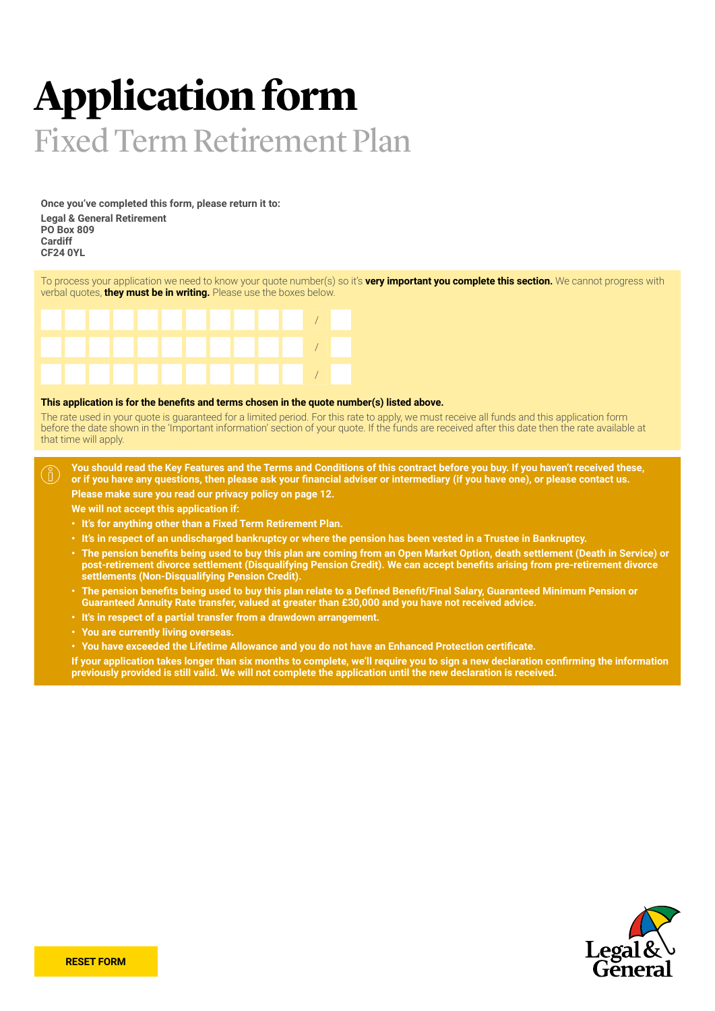# **Application form** Fixed Term Retirement Plan

**Once you've completed this form, please return it to: Legal & General Retirement PO Box 809 Cardiff CF24 0YL**

To process your application we need to know your quote number(s) so it's **very important you complete this section.** We cannot progress with verbal quotes, **they must be in writing.** Please use the boxes below.



### **This application is for the benefits and terms chosen in the quote number(s) listed above.**

The rate used in your quote is guaranteed for a limited period. For this rate to apply, we must receive all funds and this application form before the date shown in the 'Important information' section of your quote. If the funds are received after this date then the rate available at that time will apply.

**You should read the Key Features and the Terms and Conditions of this contract before you buy. If you haven't received these,**   $\binom{8}{1}$ **or if you have any questions, then please ask your financial adviser or intermediary (if you have one), or please contact us. Please make sure you read our privacy policy on page 12.**

**We will not accept this application if:**

- **• It's for anything other than a Fixed Term Retirement Plan.**
- **• It's in respect of an undischarged bankruptcy or where the pension has been vested in a Trustee in Bankruptcy.**
- **• The pension benefits being used to buy this plan are coming from an Open Market Option, death settlement (Death in Service) or post-retirement divorce settlement (Disqualifying Pension Credit). We can accept benefits arising from pre-retirement divorce settlements (Non-Disqualifying Pension Credit).**
- **• The pension benefits being used to buy this plan relate to a Defined Benefit/Final Salary, Guaranteed Minimum Pension or Guaranteed Annuity Rate transfer, valued at greater than £30,000 and you have not received advice.**
- **• It's in respect of a partial transfer from a drawdown arrangement.**
- **• You are currently living overseas.**
- **• You have exceeded the Lifetime Allowance and you do not have an Enhanced Protection certificate.**

**If your application takes longer than six months to complete, we'll require you to sign a new declaration confirming the information previously provided is still valid. We will not complete the application until the new declaration is received.**

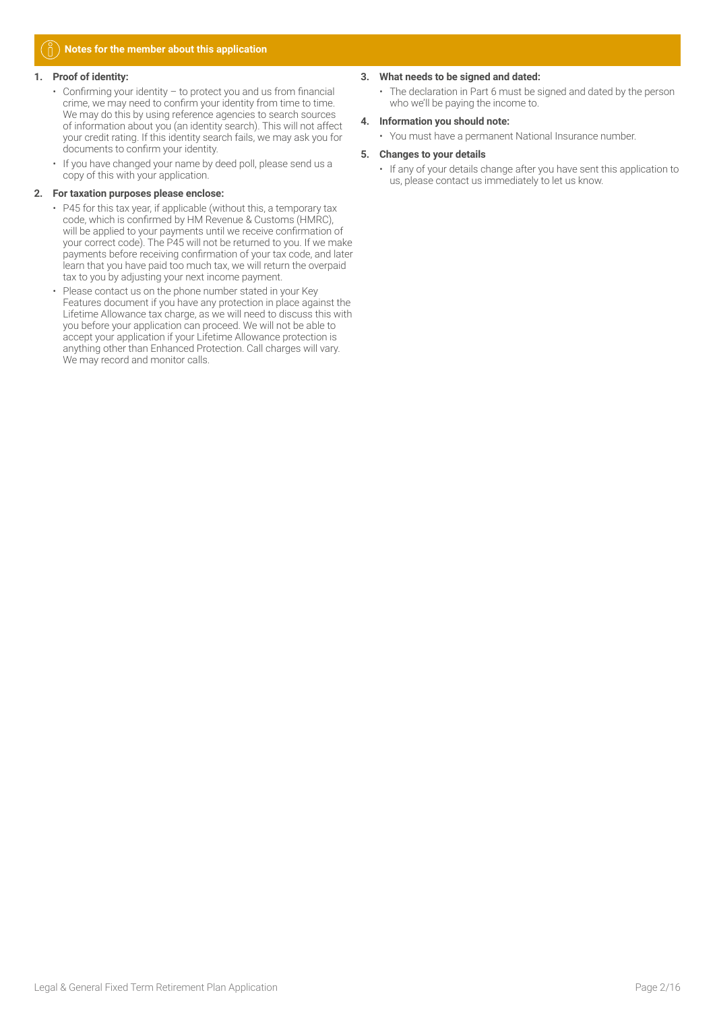### **Notes for the member about this application**

### **1. Proof of identity:**

- Confirming your identity to protect you and us from financial crime, we may need to confirm your identity from time to time. We may do this by using reference agencies to search sources of information about you (an identity search). This will not affect your credit rating. If this identity search fails, we may ask you for documents to confirm your identity.
- If you have changed your name by deed poll, please send us a copy of this with your application.

### **2. For taxation purposes please enclose:**

- P45 for this tax year, if applicable (without this, a temporary tax code, which is confirmed by HM Revenue & Customs (HMRC), will be applied to your payments until we receive confirmation of your correct code). The P45 will not be returned to you. If we make payments before receiving confirmation of your tax code, and later learn that you have paid too much tax, we will return the overpaid tax to you by adjusting your next income payment.
- Please contact us on the phone number stated in your Key Features document if you have any protection in place against the Lifetime Allowance tax charge, as we will need to discuss this with you before your application can proceed. We will not be able to accept your application if your Lifetime Allowance protection is anything other than Enhanced Protection. Call charges will vary. We may record and monitor calls.

### **3. What needs to be signed and dated:**

• The declaration in Part 6 must be signed and dated by the person who we'll be paying the income to.

### **4. Information you should note:**

• You must have a permanent National Insurance number.

### **5. Changes to your details**

• If any of your details change after you have sent this application to us, please contact us immediately to let us know.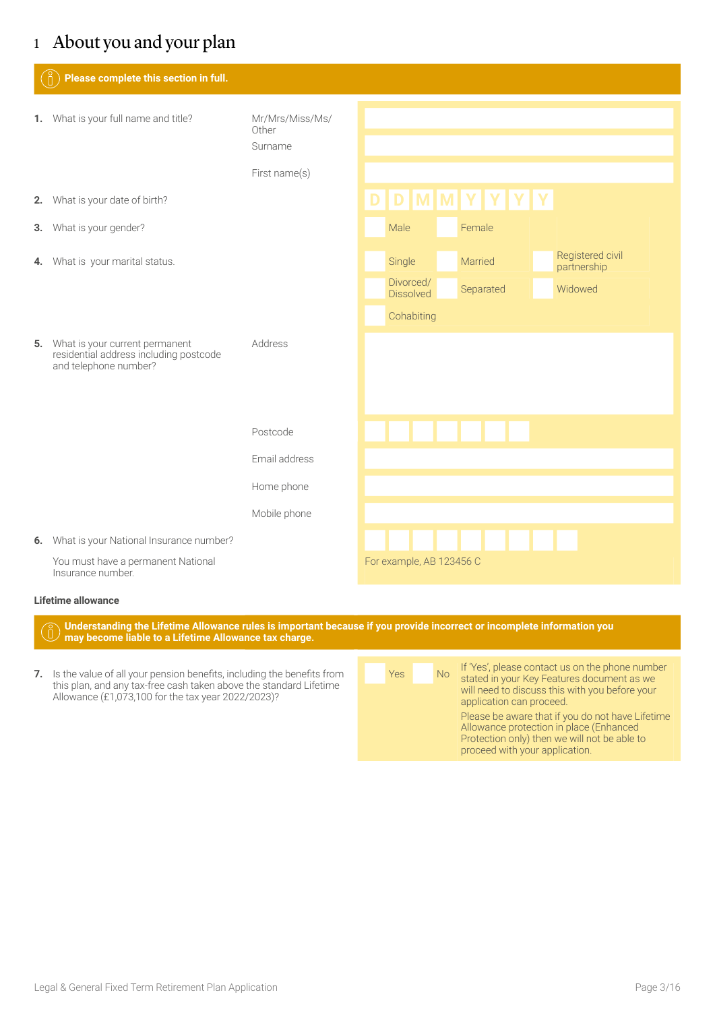# 1 About you and your plan

| Please complete this section in full.                                                                |                                     |  |                               |  |         |           |                                 |
|------------------------------------------------------------------------------------------------------|-------------------------------------|--|-------------------------------|--|---------|-----------|---------------------------------|
| 1. What is your full name and title?                                                                 | Mr/Mrs/Miss/Ms/<br>Other<br>Surname |  |                               |  |         |           |                                 |
|                                                                                                      | First name(s)                       |  |                               |  |         |           |                                 |
| 2. What is your date of birth?                                                                       |                                     |  | D D M M Y Y Y Y               |  |         |           |                                 |
| 3. What is your gender?                                                                              |                                     |  | Male                          |  | Female  |           |                                 |
| 4. What is your marital status.                                                                      |                                     |  | Single                        |  | Married |           | Registered civil<br>partnership |
|                                                                                                      |                                     |  | Divorced/<br><b>Dissolved</b> |  |         | Separated | Widowed                         |
|                                                                                                      |                                     |  | Cohabiting                    |  |         |           |                                 |
| 5. What is your current permanent<br>residential address including postcode<br>and telephone number? | Address                             |  |                               |  |         |           |                                 |
|                                                                                                      | Postcode                            |  | <u> TENTITA E</u>             |  |         |           |                                 |
|                                                                                                      | Email address                       |  |                               |  |         |           |                                 |
|                                                                                                      | Home phone                          |  |                               |  |         |           |                                 |
|                                                                                                      | Mobile phone                        |  |                               |  |         |           |                                 |
| 6. What is your National Insurance number?                                                           |                                     |  |                               |  |         |           |                                 |
| You must have a permanent National<br>Insurance number.                                              |                                     |  | For example, AB 123456 C      |  |         |           |                                 |
| Lifetime allowance                                                                                   |                                     |  |                               |  |         |           |                                 |

**Understanding the Lifetime Allowance rules is important because if you provide incorrect or incomplete information you** 

- **may become liable to a Lifetime Allowance tax charge.**
- **7.** Is the value of all your pension benefits, including the benefits from this plan, and any tax-free cash taken above the standard Lifetime Allowance (£1,073,100 for the tax year 2022/2023)?

| <b>Yes</b> | <b>No</b> | If 'Yes', please contact us on the phone number<br>stated in your Key Features document as we                                                                                 |
|------------|-----------|-------------------------------------------------------------------------------------------------------------------------------------------------------------------------------|
|            |           | will need to discuss this with you before your<br>application can proceed.                                                                                                    |
|            |           | Please be aware that if you do not have Lifetime<br>Allowance protection in place (Enhanced<br>Protection only) then we will not be able to<br>proceed with your application. |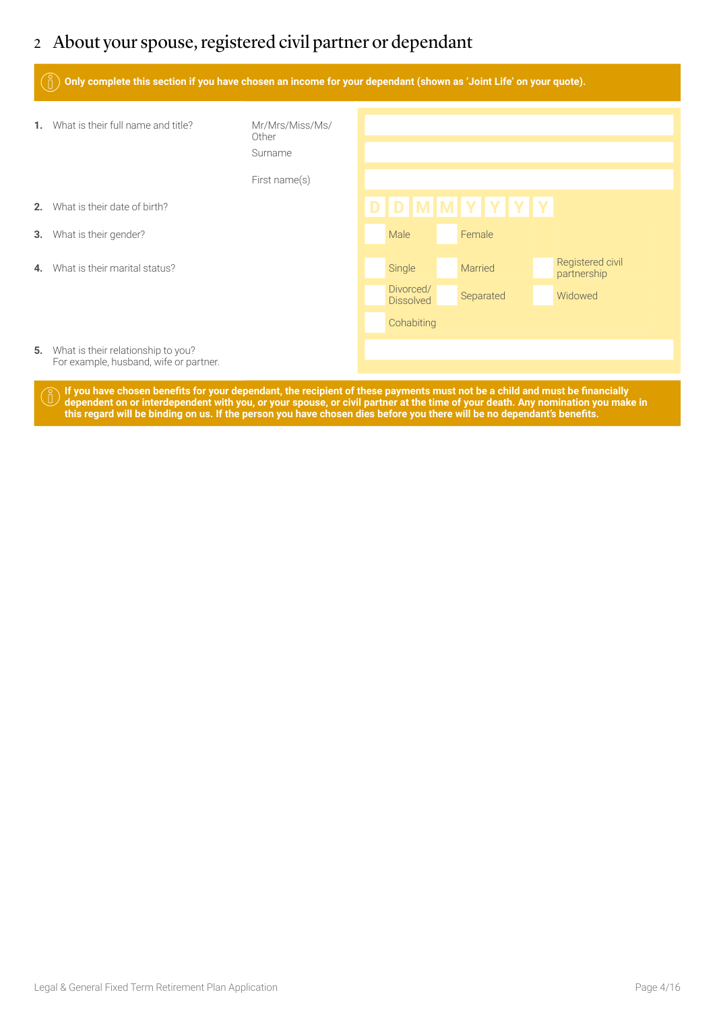# 2 About your spouse, registered civil partner or dependant

|    | Only complete this section if you have chosen an income for your dependant (shown as 'Joint Life' on your quote). |                                                      |  |                               |  |                 |  |  |                                 |
|----|-------------------------------------------------------------------------------------------------------------------|------------------------------------------------------|--|-------------------------------|--|-----------------|--|--|---------------------------------|
| 1. | What is their full name and title?                                                                                | Mr/Mrs/Miss/Ms/<br>Other<br>Surname<br>First name(s) |  |                               |  |                 |  |  |                                 |
| 2. | What is their date of birth?                                                                                      |                                                      |  |                               |  | D D M M Y Y Y Y |  |  |                                 |
| 3. | What is their gender?                                                                                             |                                                      |  | Male                          |  | Female          |  |  |                                 |
| 4. | What is their marital status?                                                                                     |                                                      |  | Single                        |  | Married         |  |  | Registered civil<br>partnership |
|    |                                                                                                                   |                                                      |  | Divorced/<br><b>Dissolved</b> |  | Separated       |  |  | Widowed                         |
|    |                                                                                                                   |                                                      |  | Cohabiting                    |  |                 |  |  |                                 |
| 5. | What is their relationship to you?<br>For example, husband, wife or partner.                                      |                                                      |  |                               |  |                 |  |  |                                 |

**If you have chosen benefits for your dependant, the recipient of these payments must not be a child and must be financially dependent on or interdependent with you, or your spouse, or civil partner at the time of your death. Any nomination you make in this regard will be binding on us. If the person you have chosen dies before you there will be no dependant's benefits.**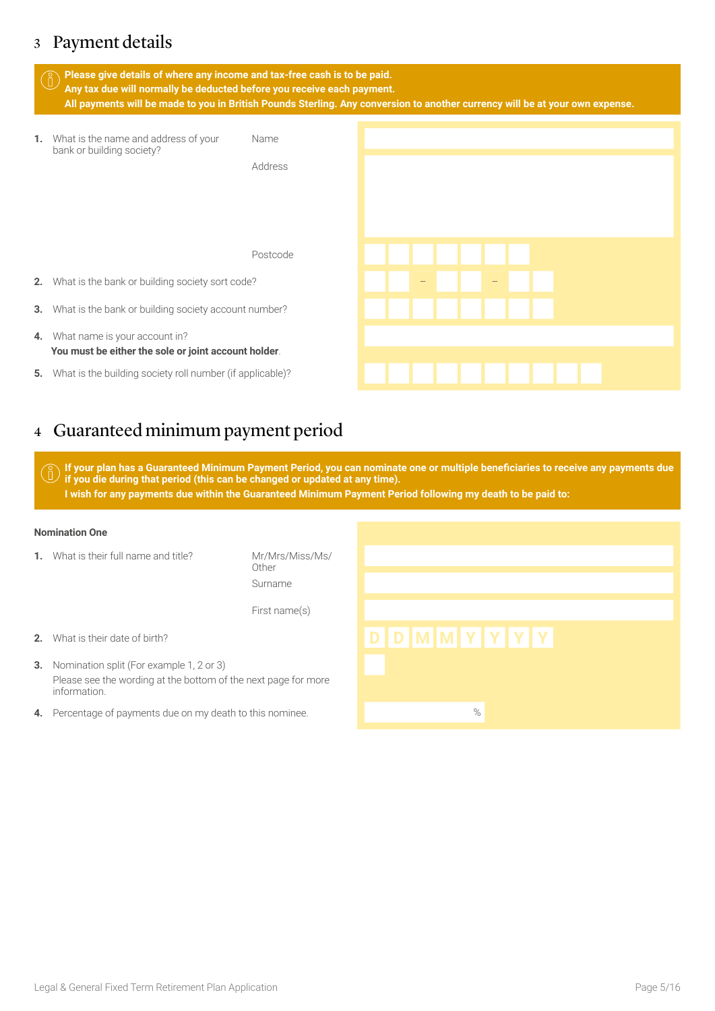# 3 Payment details

|    | Please give details of where any income and tax-free cash is to be paid.<br>$\left(\begin{smallmatrix} 0\ 0 \end{smallmatrix}\right)$<br>Any tax due will normally be deducted before you receive each payment.<br>All payments will be made to you in British Pounds Sterling. Any conversion to another currency will be at your own expense. |             |  |          |                            |  |  |  |  |
|----|-------------------------------------------------------------------------------------------------------------------------------------------------------------------------------------------------------------------------------------------------------------------------------------------------------------------------------------------------|-------------|--|----------|----------------------------|--|--|--|--|
| 1. | What is the name and address of your<br>bank or building society?                                                                                                                                                                                                                                                                               | <b>Name</b> |  |          |                            |  |  |  |  |
|    |                                                                                                                                                                                                                                                                                                                                                 | Address     |  |          |                            |  |  |  |  |
|    |                                                                                                                                                                                                                                                                                                                                                 | Postcode    |  |          | .                          |  |  |  |  |
| 2. | What is the bank or building society sort code?                                                                                                                                                                                                                                                                                                 |             |  | $\tau$ . | and the state of the state |  |  |  |  |
| 3. | What is the bank or building society account number?                                                                                                                                                                                                                                                                                            |             |  |          | .                          |  |  |  |  |
| 4. | What name is your account in?<br>You must be either the sole or joint account holder.                                                                                                                                                                                                                                                           |             |  |          |                            |  |  |  |  |
| 5. | What is the building society roll number (if applicable)?                                                                                                                                                                                                                                                                                       |             |  |          | .                          |  |  |  |  |

# 4 Guaranteed minimum payment period

**If your plan has a Guaranteed Minimum Payment Period, you can nominate one or multiple beneficiaries to receive any payments due if you die during that period (this can be changed or updated at any time). I wish for any payments due within the Guaranteed Minimum Payment Period following my death to be paid to:**

### **Nomination One**

**1.** What is their full name and title? Mr/Mrs/Miss/Ms/

Other Surname First name(s)

- 
- **3.** Nomination split (For example 1, 2 or 3) Please see the wording at the bottom of the next page for more information.
- **4.** Percentage of payments due on my death to this nominee.

# **2.** What is their date of birth? **D D M M Y Y Y Y**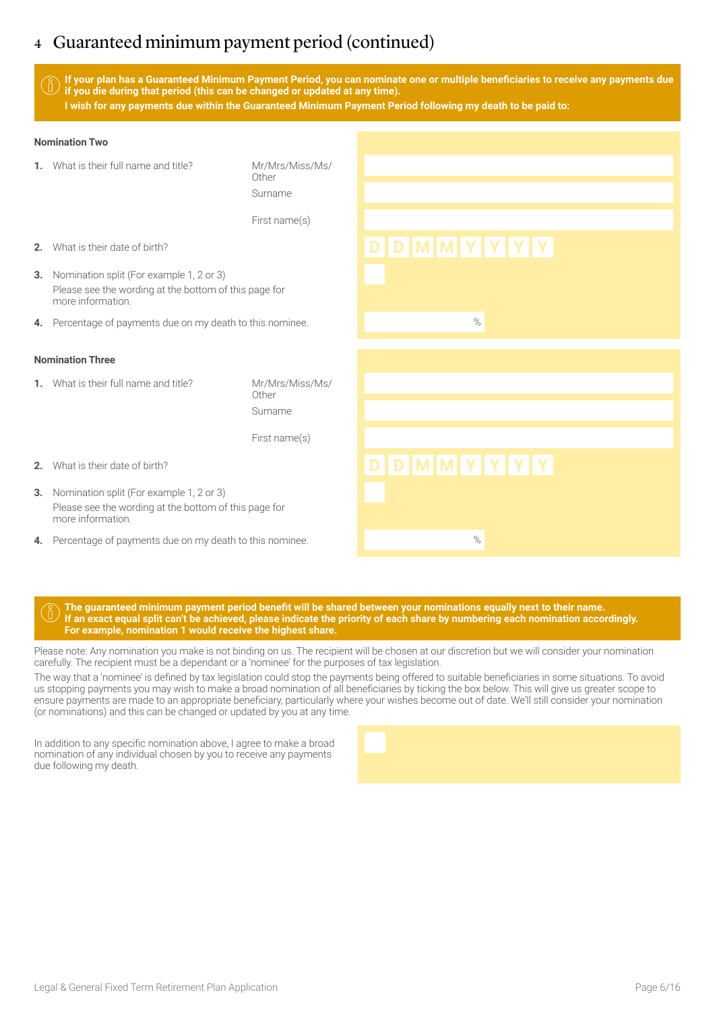# 4 Guaranteed minimum payment period (continued)

**If your plan has a Guaranteed Minimum Payment Period, you can nominate one or multiple beneficiaries to receive any payments due if you die during that period (this can be changed or updated at any time). I wish for any payments due within the Guaranteed Minimum Payment Period following my death to be paid to:**

### **Nomination Two**

| What is their full name and title?<br>1.                                                                                     | Mr/Mrs/Miss/Ms/<br>Other<br>Surname |                 |
|------------------------------------------------------------------------------------------------------------------------------|-------------------------------------|-----------------|
|                                                                                                                              | First name(s)                       |                 |
| What is their date of birth?<br>2.                                                                                           |                                     | D D M M Y Y Y Y |
| Nomination split (For example 1, 2 or 3)<br>3.<br>Please see the wording at the bottom of this page for<br>more information. |                                     |                 |
| Percentage of payments due on my death to this nominee.<br>4.                                                                |                                     | $\%$            |
| <b>Nomination Three</b>                                                                                                      |                                     |                 |
| 1. What is their full name and title?                                                                                        | Mr/Mrs/Miss/Ms/<br>Other<br>Surname |                 |
|                                                                                                                              | First name(s)                       |                 |
| What is their date of birth?<br>2.                                                                                           |                                     | D D M M Y Y Y Y |
| Nomination split (For example 1, 2 or 3)<br>3.<br>Please see the wording at the bottom of this page for<br>more information. |                                     |                 |
| Percentage of payments due on my death to this nominee.<br>4.                                                                |                                     | $\%$            |

### **The guaranteed minimum payment period benefit will be shared between your nominations equally next to their name. If an exact equal split can't be achieved, please indicate the priority of each share by numbering each nomination accordingly. For example, nomination 1 would receive the highest share.**

Please note: Any nomination you make is not binding on us. The recipient will be chosen at our discretion but we will consider your nomination carefully. The recipient must be a dependant or a 'nominee' for the purposes of tax legislation.

The way that a 'nominee' is defined by tax legislation could stop the payments being offered to suitable beneficiaries in some situations. To avoid us stopping payments you may wish to make a broad nomination of all beneficiaries by ticking the box below. This will give us greater scope to ensure payments are made to an appropriate beneficiary, particularly where your wishes become out of date. We'll still consider your nomination (or nominations) and this can be changed or updated by you at any time.

In addition to any specific nomination above, I agree to make a broad nomination of any individual chosen by you to receive any payments due following my death.

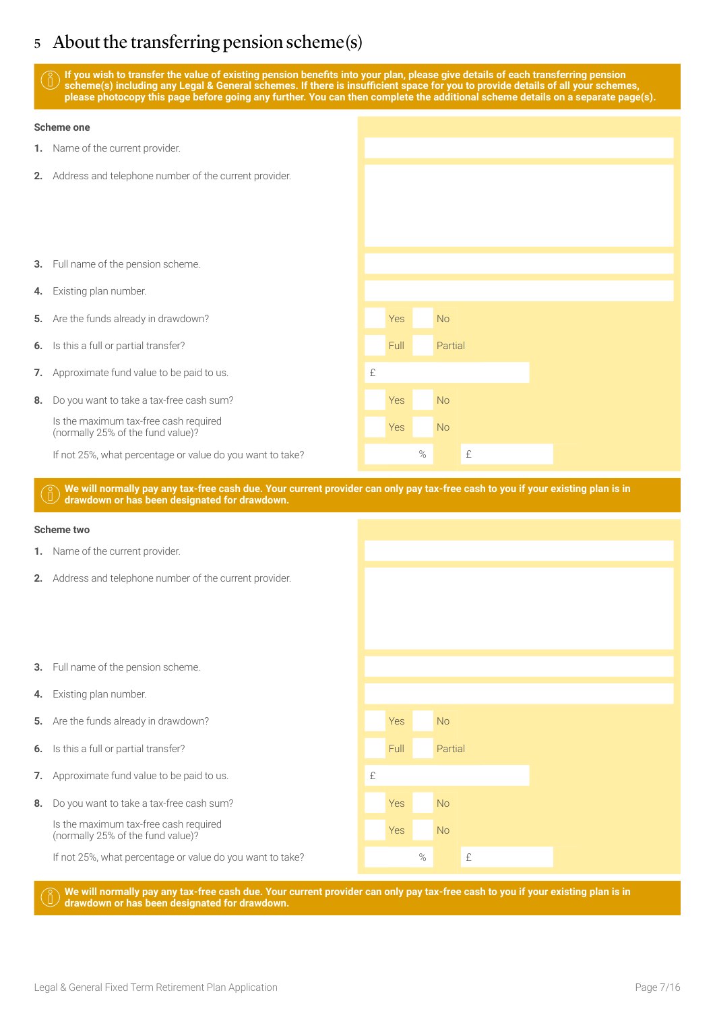# 5 About the transferring pension scheme(s)

**If you wish to transfer the value of existing pension benefits into your plan, please give details of each transferring pension scheme(s) including any Legal & General schemes. If there is insufficient space for you to provide details of all your schemes, please photocopy this page before going any further. You can then complete the additional scheme details on a separate page(s).**

# **Scheme one 1.** Name of the current provider. **2.** Address and telephone number of the current provider. **3.** Full name of the pension scheme. **4.** Existing plan number. **5.** Are the funds already in drawdown? The state of the Second Second Second Second Second Second Second Second Second Second Second Second Second Second Second Second Second Second Second Second Second Second Second Seco **6.** Is this a full or partial transfer? The Community of the Community Partial Partial **7.** Approximate fund value to be paid to us. **8.** Do you want to take a tax-free cash sum? Yes No Is the maximum tax-free cash required Is the maximum tax-liee cash required<br>(normally 25% of the fund value)? If not 25%, what percentage or value do you want to take?  $\blacksquare$  %  $\blacksquare$  £ **We will normally pay any tax-free cash due. Your current provider can only pay tax-free cash to you if your existing plan is in drawdown or has been designated for drawdown. Scheme two 1.** Name of the current provider.

- **2.** Address and telephone number of the current provider.
- **3.** Full name of the pension scheme.
- **4.** Existing plan number.
- **5.** Are the funds already in drawdown? The Contract of the Contract of the North Area North Area North Area North Area North Area North Area North Area North Area North Area North Area North Area North Area North Area Nor
- **6.** Is this a full or partial transfer? The Contraction of the Contraction Partial Partial
- **7.** Approximate fund value to be paid to us.
- **8.** Do you want to take a tax-free cash sum? The state of the Second Vest No. No

Is the maximum tax-free cash required Is the maximum tax-lifee cash required<br>(normally 25% of the fund value)?

If not 25%, what percentage or value do you want to take?  $\blacksquare$  %  $\blacksquare$  £

**We will normally pay any tax-free cash due. Your current provider can only pay tax-free cash to you if your existing plan is in drawdown or has been designated for drawdown.**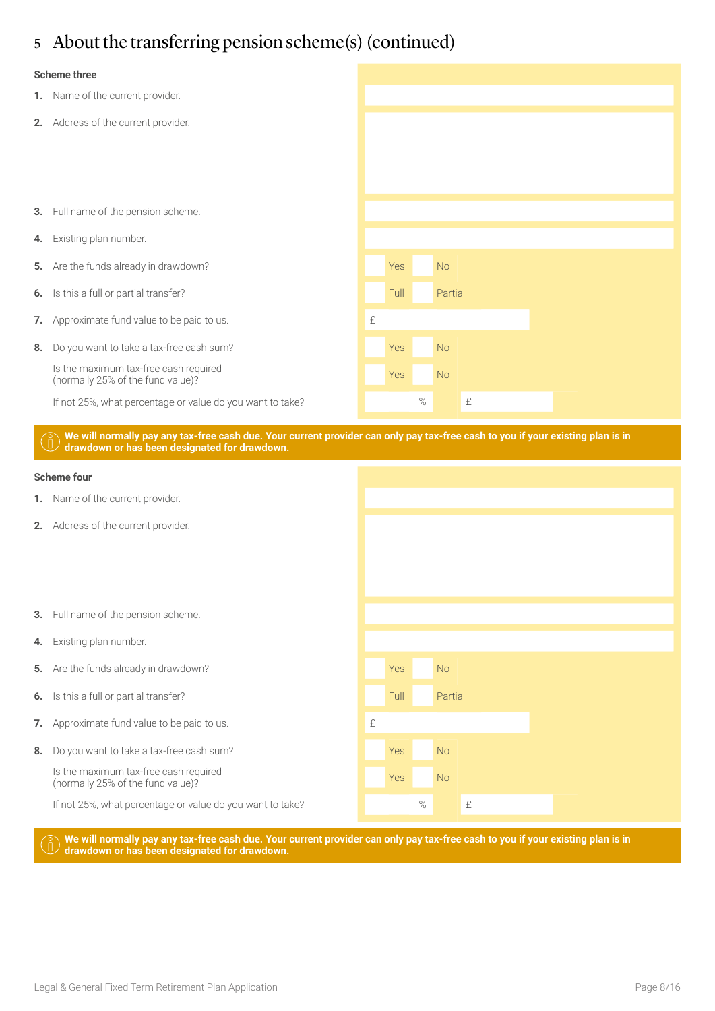# 5 About the transferring pension scheme(s) (continued)

### **Scheme three**

- **1.** Name of the current provider. **2.** Address of the current provider. **3.** Full name of the pension scheme. **4.** Existing plan number. **5.** Are the funds already in drawdown? **Yes No. 2016** Yes No. 2016 **6.** Is this a full or partial transfer? Full Partial Partial Partial Partial Partial Partial Partial Partial Partial Partial Partial Partial Partial Partial Partial Partial Partial Partial Partial Partial Partial Partial **7.** Approximate fund value to be paid to us. **EXECUTE:**  $\mathbf{f}$ **8.** Do you want to take a tax-free cash sum? The state of the Second Vest No. No Is the maximum tax-free cash required Is the maximum tax-lifee cash required<br>(normally 25% of the fund value)? If not 25%, what percentage or value do you want to take?  $\blacksquare$   $\blacksquare$   $\blacksquare$   $\blacksquare$   $\blacksquare$   $\blacksquare$   $\blacksquare$   $\blacksquare$   $\blacksquare$   $\blacksquare$   $\blacksquare$   $\blacksquare$   $\blacksquare$   $\blacksquare$   $\blacksquare$   $\blacksquare$   $\blacksquare$   $\blacksquare$   $\blacksquare$   $\blacksquare$   $\blacksquare$   $\blacksquare$   $\blacksquare$   $\$ 
	- **We will normally pay any tax-free cash due. Your current provider can only pay tax-free cash to you if your existing plan is in drawdown or has been designated for drawdown.**



**We will normally pay any tax-free cash due. Your current provider can only pay tax-free cash to you if your existing plan is in drawdown or has been designated for drawdown.**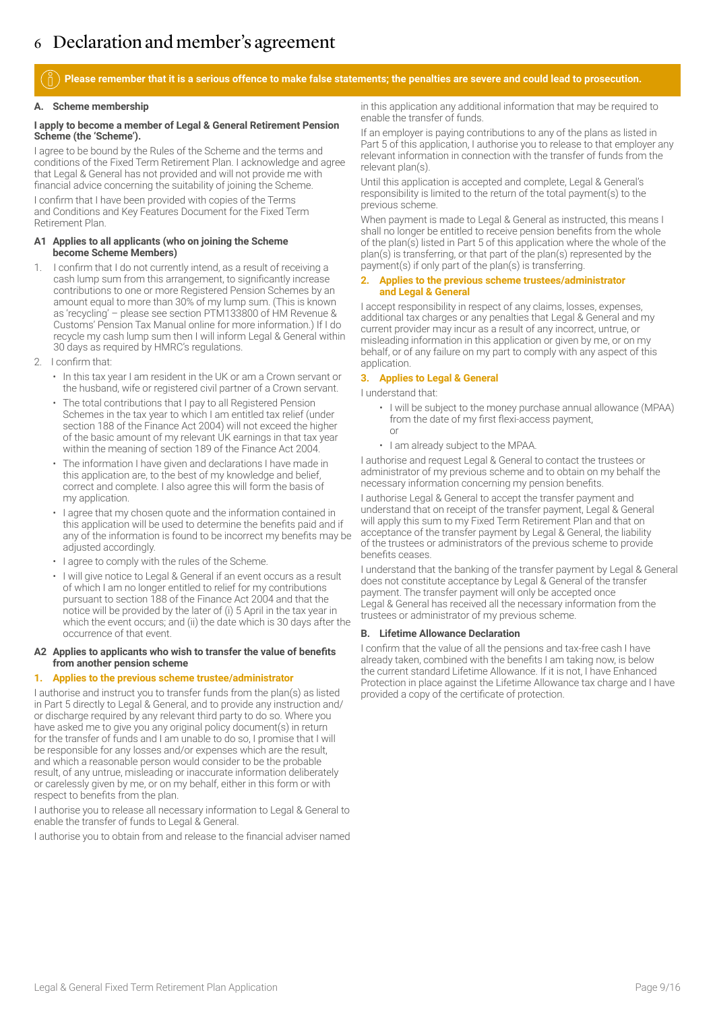# 6 Declaration and member's agreement

**Please remember that it is a serious offence to make false statements; the penalties are severe and could lead to prosecution.**

### **A. Scheme membership**

### **I apply to become a member of Legal & General Retirement Pension Scheme (the 'Scheme').**

I agree to be bound by the Rules of the Scheme and the terms and conditions of the Fixed Term Retirement Plan. I acknowledge and agree that Legal & General has not provided and will not provide me with financial advice concerning the suitability of joining the Scheme.

I confirm that I have been provided with copies of the Terms and Conditions and Key Features Document for the Fixed Term Retirement Plan.

### **A1 Applies to all applicants (who on joining the Scheme become Scheme Members)**

- 1. I confirm that I do not currently intend, as a result of receiving a cash lump sum from this arrangement, to significantly increase contributions to one or more Registered Pension Schemes by an amount equal to more than 30% of my lump sum. (This is known as 'recycling' – please see section PTM133800 of HM Revenue & Customs' Pension Tax Manual online for more information.) If I do recycle my cash lump sum then I will inform Legal & General within 30 days as required by HMRC's regulations.
- 2. I confirm that:
	- In this tax year I am resident in the UK or am a Crown servant or the husband, wife or registered civil partner of a Crown servant.
	- The total contributions that I pay to all Registered Pension Schemes in the tax year to which I am entitled tax relief (under section 188 of the Finance Act 2004) will not exceed the higher of the basic amount of my relevant UK earnings in that tax year within the meaning of section 189 of the Finance Act 2004.
	- The information I have given and declarations I have made in this application are, to the best of my knowledge and belief, correct and complete. I also agree this will form the basis of my application.
	- I agree that my chosen quote and the information contained in this application will be used to determine the benefits paid and if any of the information is found to be incorrect my benefits may be adjusted accordingly.
	- I agree to comply with the rules of the Scheme.
	- I will give notice to Legal & General if an event occurs as a result of which I am no longer entitled to relief for my contributions pursuant to section 188 of the Finance Act 2004 and that the notice will be provided by the later of (i) 5 April in the tax year in which the event occurs; and (ii) the date which is 30 days after the occurrence of that event.

### **A2 Applies to applicants who wish to transfer the value of benefits from another pension scheme**

### **1. Applies to the previous scheme trustee/administrator**

I authorise and instruct you to transfer funds from the plan(s) as listed in Part 5 directly to Legal & General, and to provide any instruction and/ or discharge required by any relevant third party to do so. Where you have asked me to give you any original policy document(s) in return for the transfer of funds and I am unable to do so, I promise that I will be responsible for any losses and/or expenses which are the result, and which a reasonable person would consider to be the probable result, of any untrue, misleading or inaccurate information deliberately or carelessly given by me, or on my behalf, either in this form or with respect to benefits from the plan.

I authorise you to release all necessary information to Legal & General to enable the transfer of funds to Legal & General.

I authorise you to obtain from and release to the financial adviser named

in this application any additional information that may be required to enable the transfer of funds.

If an employer is paying contributions to any of the plans as listed in Part 5 of this application, I authorise you to release to that employer any relevant information in connection with the transfer of funds from the relevant plan(s).

Until this application is accepted and complete, Legal & General's responsibility is limited to the return of the total payment(s) to the previous scheme.

When payment is made to Legal & General as instructed, this means I shall no longer be entitled to receive pension benefits from the whole of the plan(s) listed in Part 5 of this application where the whole of the plan(s) is transferring, or that part of the plan(s) represented by the payment(s) if only part of the plan(s) is transferring.

### **2. Applies to the previous scheme trustees/administrator and Legal & General**

I accept responsibility in respect of any claims, losses, expenses, additional tax charges or any penalties that Legal & General and my current provider may incur as a result of any incorrect, untrue, or misleading information in this application or given by me, or on my behalf, or of any failure on my part to comply with any aspect of this application.

### **3. Applies to Legal & General**

I understand that:

- I will be subject to the money purchase annual allowance (MPAA) from the date of my first flexi-access payment, or
- I am already subject to the MPAA.

I authorise and request Legal & General to contact the trustees or administrator of my previous scheme and to obtain on my behalf the necessary information concerning my pension benefits.

I authorise Legal & General to accept the transfer payment and understand that on receipt of the transfer payment, Legal & General will apply this sum to my Fixed Term Retirement Plan and that on acceptance of the transfer payment by Legal & General, the liability of the trustees or administrators of the previous scheme to provide benefits ceases.

I understand that the banking of the transfer payment by Legal & General does not constitute acceptance by Legal & General of the transfer payment. The transfer payment will only be accepted once Legal & General has received all the necessary information from the trustees or administrator of my previous scheme.

### **B. Lifetime Allowance Declaration**

I confirm that the value of all the pensions and tax-free cash I have already taken, combined with the benefits I am taking now, is below the current standard Lifetime Allowance. If it is not, I have Enhanced Protection in place against the Lifetime Allowance tax charge and I have provided a copy of the certificate of protection.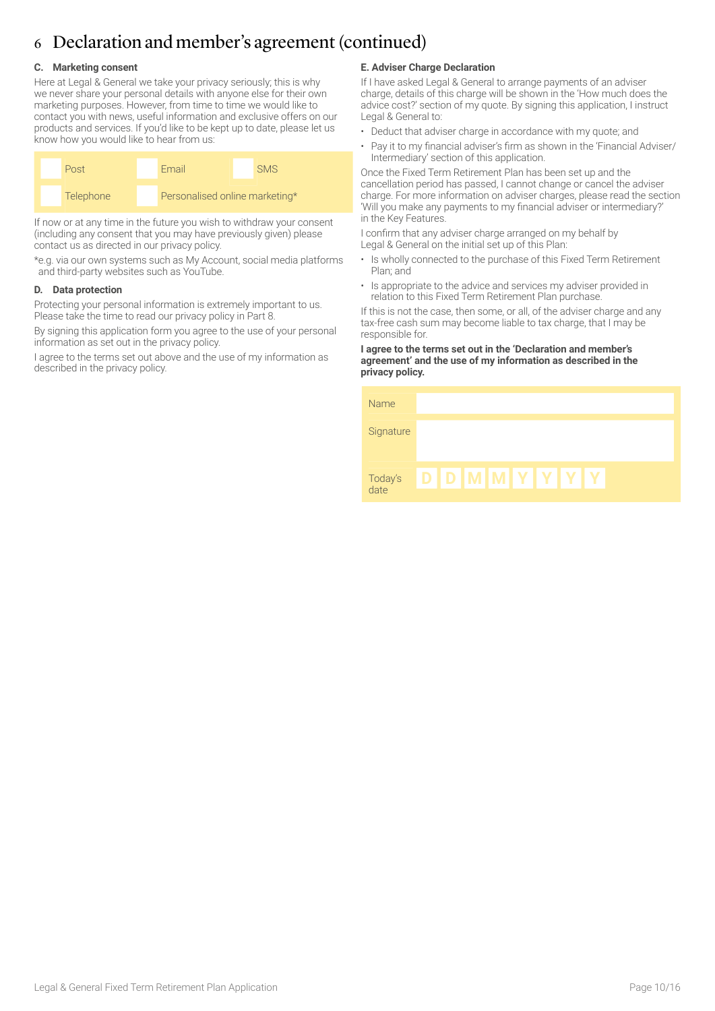# 6 Declaration and member's agreement (continued)

### **C. Marketing consent**

Here at Legal & General we take your privacy seriously; this is why we never share your personal details with anyone else for their own marketing purposes. However, from time to time we would like to contact you with news, useful information and exclusive offers on our products and services. If you'd like to be kept up to date, please let us know how you would like to hear from us:



If now or at any time in the future you wish to withdraw your consent (including any consent that you may have previously given) please contact us as directed in our privacy policy.

\*e.g. via our own systems such as My Account, social media platforms and third-party websites such as YouTube.

### **D. Data protection**

Protecting your personal information is extremely important to us. Please take the time to read our privacy policy in Part 8.

By signing this application form you agree to the use of your personal information as set out in the privacy policy.

I agree to the terms set out above and the use of my information as described in the privacy policy.

### **E. Adviser Charge Declaration**

If I have asked Legal & General to arrange payments of an adviser charge, details of this charge will be shown in the 'How much does the advice cost?' section of my quote. By signing this application, I instruct Legal & General to:

- Deduct that adviser charge in accordance with my quote; and
- Pay it to my financial adviser's firm as shown in the 'Financial Adviser/ Intermediary' section of this application.

Once the Fixed Term Retirement Plan has been set up and the cancellation period has passed, I cannot change or cancel the adviser charge. For more information on adviser charges, please read the section 'Will you make any payments to my financial adviser or intermediary?' in the Key Features.

I confirm that any adviser charge arranged on my behalf by Legal & General on the initial set up of this Plan:

- Is wholly connected to the purchase of this Fixed Term Retirement Plan; and
- Is appropriate to the advice and services my adviser provided in relation to this Fixed Term Retirement Plan purchase.

If this is not the case, then some, or all, of the adviser charge and any tax-free cash sum may become liable to tax charge, that I may be responsible for.

### **I agree to the terms set out in the 'Declaration and member's agreement' and the use of my information as described in the privacy policy.**

| Name            |  |                        |  |  |  |
|-----------------|--|------------------------|--|--|--|
| Signature       |  |                        |  |  |  |
| Today's<br>date |  | <b>DIDIMIMIYIYIYIY</b> |  |  |  |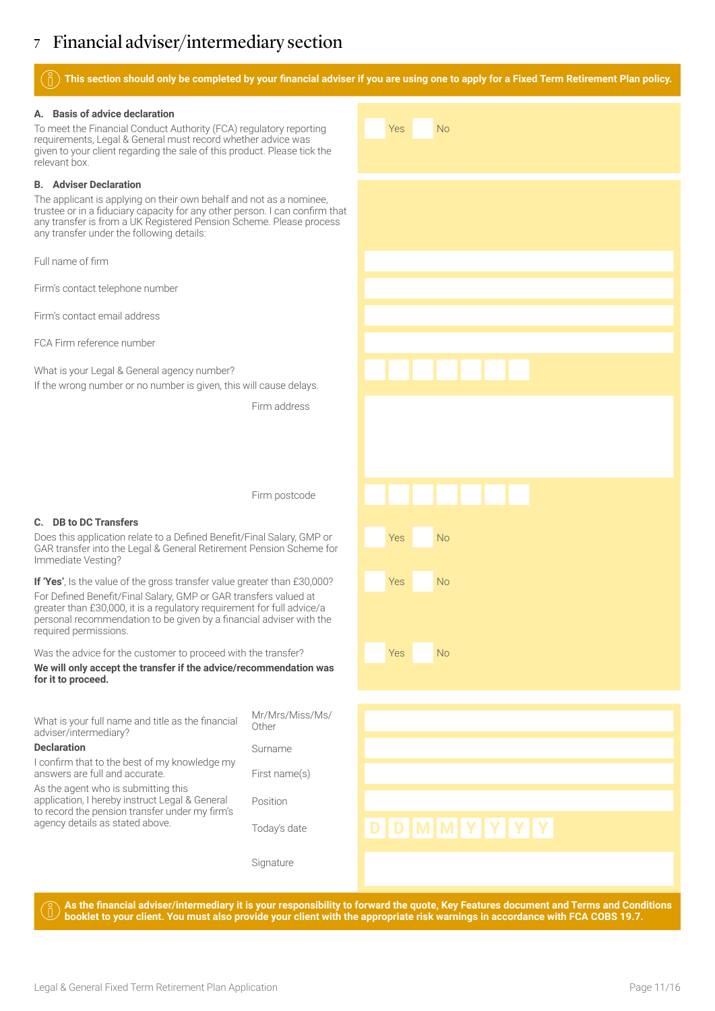# 7 Financial adviser/intermediary section

### **This section should only be completed by your financial adviser if you are using one to apply for a Fixed Term Retirement Plan policy.**

Yes No

Yes No

Yes No

Yes No

### **A. Basis of advice declaration**

To meet the Financial Conduct Authority (FCA) regulatory reporting requirements, Legal & General must record whether advice was given to your client regarding the sale of this product. Please tick the relevant box.

### **B. Adviser Declaration**

The applicant is applying on their own behalf and not as a nominee, trustee or in a fiduciary capacity for any other person. I can confirm that any transfer is from a UK Registered Pension Scheme. Please process any transfer under the following details:

Full name of firm

Firm's contact telephone number

Firm's contact email address

FCA Firm reference number

What is your Legal & General agency number? If the wrong number or no number is given, this will cause delays.

Firm address

Firm postcode

### **C. DB to DC Transfers**

Does this application relate to a Defined Benefit/Final Salary, GMP or GAR transfer into the Legal & General Retirement Pension Scheme for Immediate Vesting?

**If 'Yes'**, Is the value of the gross transfer value greater than £30,000? For Defined Benefit/Final Salary, GMP or GAR transfers valued at greater than £30,000, it is a regulatory requirement for full advice/a personal recommendation to be given by a financial adviser with the required permissions.

Was the advice for the customer to proceed with the transfer?

**We will only accept the transfer if the advice/recommendation was for it to proceed.** 

| What is your full name and title as the financial<br>adviser/intermediary?                                                              | Mr/Mrs/Miss/Ms/<br>Other |           |
|-----------------------------------------------------------------------------------------------------------------------------------------|--------------------------|-----------|
| <b>Declaration</b>                                                                                                                      | Surname                  |           |
| I confirm that to the best of my knowledge my<br>answers are full and accurate.                                                         | First name(s)            |           |
| As the agent who is submitting this<br>application, I hereby instruct Legal & General<br>to record the pension transfer under my firm's | Position                 |           |
| agency details as stated above.                                                                                                         | Today's date             | DDMMYYYYY |
|                                                                                                                                         | Signature                |           |

**As the financial adviser/intermediary it is your responsibility to forward the quote, Key Features document and Terms and Conditions booklet to your client. You must also provide your client with the appropriate risk warnings in accordance with FCA COBS 19.7.**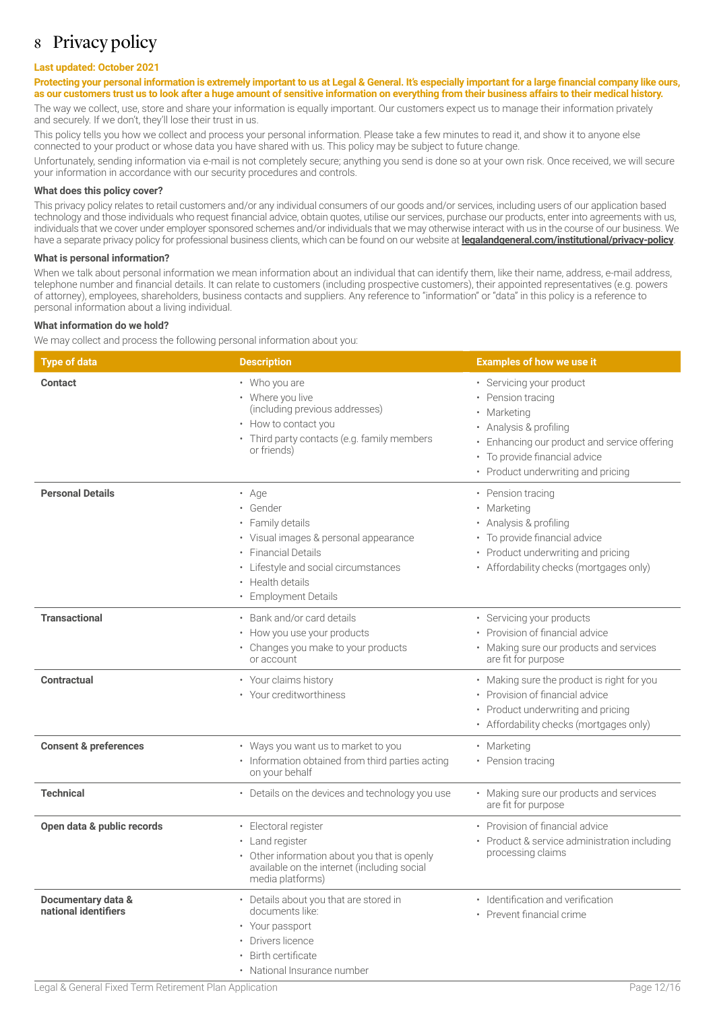## 8 Privacy policy

### **Last updated: October 2021**

### Protecting your personal information is extremely important to us at Legal & General. It's especially important for a large financial company like ours, **as our customers trust us to look after a huge amount of sensitive information on everything from their business affairs to their medical history.**

The way we collect, use, store and share your information is equally important. Our customers expect us to manage their information privately and securely. If we don't, they'll lose their trust in us.

This policy tells you how we collect and process your personal information. Please take a few minutes to read it, and show it to anyone else connected to your product or whose data you have shared with us. This policy may be subject to future change.

Unfortunately, sending information via e-mail is not completely secure; anything you send is done so at your own risk. Once received, we will secure your information in accordance with our security procedures and controls.

### **What does this policy cover?**

This privacy policy relates to retail customers and/or any individual consumers of our goods and/or services, including users of our application based technology and those individuals who request financial advice, obtain quotes, utilise our services, purchase our products, enter into agreements with us, individuals that we cover under employer sponsored schemes and/or individuals that we may otherwise interact with us in the course of our business. We have a separate privacy policy for professional business clients, which can be found on our website at **[legalandgeneral.com/institutional/privacy-policy](http://legalandgeneral.com/institutional/privacy-policy)**.

### **What is personal information?**

When we talk about personal information we mean information about an individual that can identify them, like their name, address, e-mail address, telephone number and financial details. It can relate to customers (including prospective customers), their appointed representatives (e.g. powers of attorney), employees, shareholders, business contacts and suppliers. Any reference to "information" or "data" in this policy is a reference to personal information about a living individual.

### **What information do we hold?**

We may collect and process the following personal information about you:

| <b>Type of data</b>                        | <b>Description</b>                                                                                                                                                                             | <b>Examples of how we use it</b>                                                                                                                                                                      |
|--------------------------------------------|------------------------------------------------------------------------------------------------------------------------------------------------------------------------------------------------|-------------------------------------------------------------------------------------------------------------------------------------------------------------------------------------------------------|
| <b>Contact</b>                             | • Who you are<br>• Where you live<br>(including previous addresses)<br>• How to contact you<br>• Third party contacts (e.g. family members<br>or friends)                                      | • Servicing your product<br>• Pension tracing<br>Marketing<br>Analysis & profiling<br>Enhancing our product and service offering<br>To provide financial advice<br>• Product underwriting and pricing |
| <b>Personal Details</b>                    | • Age<br>• Gender<br>• Family details<br>• Visual images & personal appearance<br>· Financial Details<br>• Lifestyle and social circumstances<br>• Health details<br><b>Employment Details</b> | • Pension tracing<br>• Marketing<br>• Analysis & profiling<br>To provide financial advice<br>Product underwriting and pricing<br>• Affordability checks (mortgages only)                              |
| <b>Transactional</b>                       | Bank and/or card details<br>• How you use your products<br>• Changes you make to your products<br>or account                                                                                   | • Servicing your products<br>• Provision of financial advice<br>• Making sure our products and services<br>are fit for purpose                                                                        |
| Contractual                                | • Your claims history<br>• Your creditworthiness                                                                                                                                               | • Making sure the product is right for you<br>• Provision of financial advice<br>Product underwriting and pricing<br>• Affordability checks (mortgages only)                                          |
| <b>Consent &amp; preferences</b>           | • Ways you want us to market to you<br>· Information obtained from third parties acting<br>on your behalf                                                                                      | • Marketing<br>• Pension tracing                                                                                                                                                                      |
| <b>Technical</b>                           | • Details on the devices and technology you use                                                                                                                                                | • Making sure our products and services<br>are fit for purpose                                                                                                                                        |
| Open data & public records                 | · Electoral register<br>• Land register<br>• Other information about you that is openly<br>available on the internet (including social<br>media platforms)                                     | • Provision of financial advice<br>Product & service administration including<br>processing claims                                                                                                    |
| Documentary data &<br>national identifiers | • Details about you that are stored in<br>documents like:<br>• Your passport<br>Drivers licence<br>• Birth certificate<br>• National Insurance number                                          | · Identification and verification<br>• Prevent financial crime                                                                                                                                        |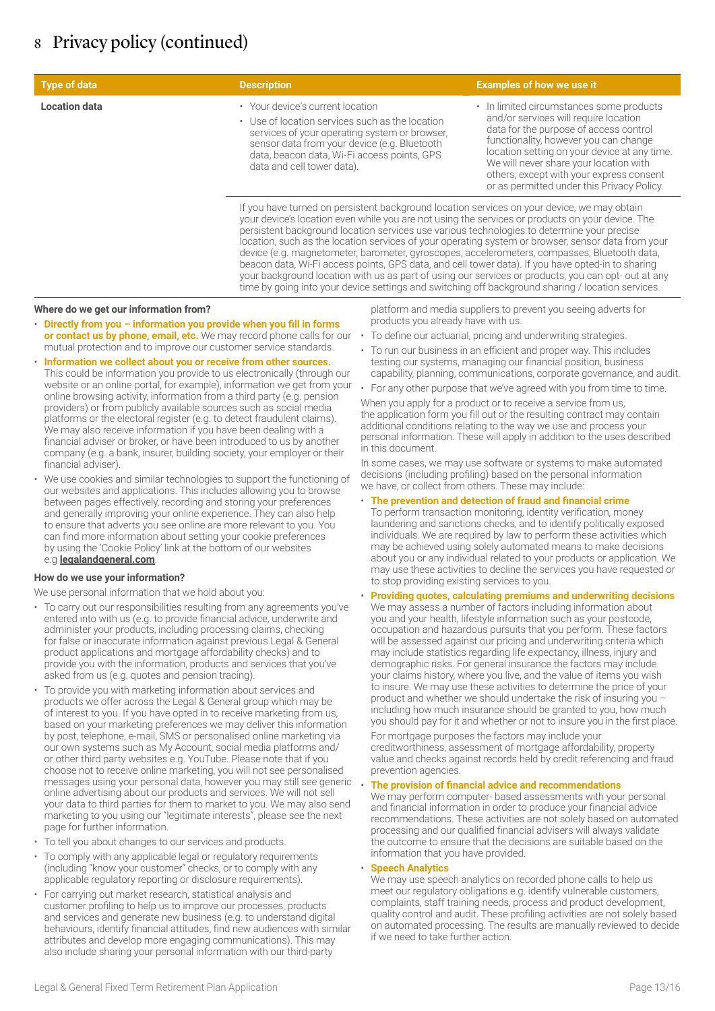| <b>Type of data</b>  | <b>Description</b>                                                                                                                                                                                                                                                                                                                                                                                                                                                                                                                                                                                                                                                                                              | <b>Examples of how we use it</b>                                                                                                                                                                                                                                                                                                                         |  |  |  |
|----------------------|-----------------------------------------------------------------------------------------------------------------------------------------------------------------------------------------------------------------------------------------------------------------------------------------------------------------------------------------------------------------------------------------------------------------------------------------------------------------------------------------------------------------------------------------------------------------------------------------------------------------------------------------------------------------------------------------------------------------|----------------------------------------------------------------------------------------------------------------------------------------------------------------------------------------------------------------------------------------------------------------------------------------------------------------------------------------------------------|--|--|--|
| <b>Location data</b> | • Your device's current location<br>• Use of location services such as the location<br>services of your operating system or browser.<br>sensor data from your device (e.g. Bluetooth<br>data, beacon data, Wi-Fi access points, GPS<br>data and cell tower data).                                                                                                                                                                                                                                                                                                                                                                                                                                               | • In limited circumstances some products<br>and/or services will require location<br>data for the purpose of access control<br>functionality, however you can change<br>location setting on your device at any time.<br>We will never share your location with<br>others, except with your express consent<br>or as permitted under this Privacy Policy. |  |  |  |
|                      | If you have turned on persistent background location services on your device, we may obtain<br>your device's location even while you are not using the services or products on your device. The<br>persistent background location services use various technologies to determine your precise<br>location, such as the location services of your operating system or browser, sensor data from your<br>device (e.g. magnetometer, barometer, gyroscopes, accelerometers, compasses, Bluetooth data,<br>beacon data, Wi-Fi access points, GPS data, and cell tower data). If you have opted-in to sharing<br>your background location with us as part of using our services or products, you can opt- out at any |                                                                                                                                                                                                                                                                                                                                                          |  |  |  |

### **Where do we get our information from?**

- **Directly from you information you provide when you fill in forms or contact us by phone, email, etc.** We may record phone calls for our mutual protection and to improve our customer service standards.
- **Information we collect about you or receive from other sources.** This could be information you provide to us electronically (through our website or an online portal, for example), information we get from your online browsing activity, information from a third party (e.g. pension providers) or from publicly available sources such as social media platforms or the electoral register (e.g. to detect fraudulent claims). We may also receive information if you have been dealing with a financial adviser or broker, or have been introduced to us by another company (e.g. a bank, insurer, building society, your employer or their financial adviser).
- We use cookies and similar technologies to support the functioning of our websites and applications. This includes allowing you to browse between pages effectively, recording and storing your preferences and generally improving your online experience. They can also help to ensure that adverts you see online are more relevant to you. You can find more information about setting your cookie preferences by using the 'Cookie Policy' link at the bottom of our websites e.g **[legalandgeneral.com](http://legalandgeneral.com/privacy-policy/cookies/)**.

### **How do we use your information?**

We use personal information that we hold about you:

- To carry out our responsibilities resulting from any agreements you've entered into with us (e.g. to provide financial advice, underwrite and administer your products, including processing claims, checking for false or inaccurate information against previous Legal & General product applications and mortgage affordability checks) and to provide you with the information, products and services that you've asked from us (e.g. quotes and pension tracing).
- To provide you with marketing information about services and products we offer across the Legal & General group which may be of interest to you. If you have opted in to receive marketing from us, based on your marketing preferences we may deliver this information by post, telephone, e-mail, SMS or personalised online marketing via our own systems such as My Account, social media platforms and/ or other third party websites e.g. YouTube. Please note that if you choose not to receive online marketing, you will not see personalised messages using your personal data, however you may still see generic online advertising about our products and services. We will not sell your data to third parties for them to market to you. We may also send marketing to you using our "legitimate interests", please see the next page for further information.
- To tell you about changes to our services and products.
- To comply with any applicable legal or regulatory requirements (including "know your customer" checks, or to comply with any applicable regulatory reporting or disclosure requirements).
- For carrying out market research, statistical analysis and customer profiling to help us to improve our processes, products and services and generate new business (e.g. to understand digital behaviours, identify financial attitudes, find new audiences with similar attributes and develop more engaging communications). This may also include sharing your personal information with our third-party

platform and media suppliers to prevent you seeing adverts for products you already have with us.

• To define our actuarial, pricing and underwriting strategies.

time by going into your device settings and switching off background sharing / location services.

- To run our business in an efficient and proper way. This includes testing our systems, managing our financial position, business capability, planning, communications, corporate governance, and audit.
- For any other purpose that we've agreed with you from time to time.

When you apply for a product or to receive a service from us, the application form you fill out or the resulting contract may contain additional conditions relating to the way we use and process your personal information. These will apply in addition to the uses described in this document.

In some cases, we may use software or systems to make automated decisions (including profiling) based on the personal information we have, or collect from others. These may include:

• **The prevention and detection of fraud and financial crime**

To perform transaction monitoring, identity verification, money laundering and sanctions checks, and to identify politically exposed individuals. We are required by law to perform these activities which may be achieved using solely automated means to make decisions about you or any individual related to your products or application. We may use these activities to decline the services you have requested or to stop providing existing services to you.

• **Providing quotes, calculating premiums and underwriting decisions** We may assess a number of factors including information about you and your health, lifestyle information such as your postcode, occupation and hazardous pursuits that you perform. These factors will be assessed against our pricing and underwriting criteria which may include statistics regarding life expectancy, illness, injury and demographic risks. For general insurance the factors may include your claims history, where you live, and the value of items you wish to insure. We may use these activities to determine the price of your product and whether we should undertake the risk of insuring you – including how much insurance should be granted to you, how much you should pay for it and whether or not to insure you in the first place.

For mortgage purposes the factors may include your creditworthiness, assessment of mortgage affordability, property value and checks against records held by credit referencing and fraud prevention agencies.

### • **The provision of financial advice and recommendations**

We may perform computer- based assessments with your personal and financial information in order to produce your financial advice recommendations. These activities are not solely based on automated processing and our qualified financial advisers will always validate the outcome to ensure that the decisions are suitable based on the information that you have provided.

### • **Speech Analytics**

We may use speech analytics on recorded phone calls to help us meet our regulatory obligations e.g. identify vulnerable customers, complaints, staff training needs, process and product development, quality control and audit. These profiling activities are not solely based on automated processing. The results are manually reviewed to decide if we need to take further action.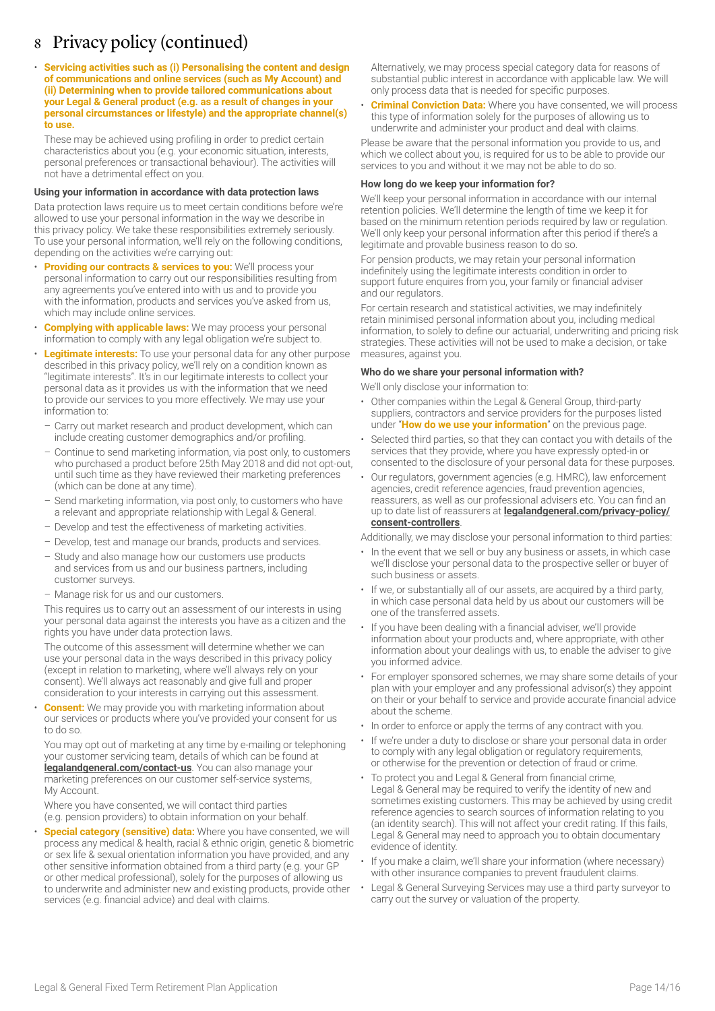• **Servicing activities such as (i) Personalising the content and design of communications and online services (such as My Account) and (ii) Determining when to provide tailored communications about your Legal & General product (e.g. as a result of changes in your personal circumstances or lifestyle) and the appropriate channel(s) to use.**

These may be achieved using profiling in order to predict certain characteristics about you (e.g. your economic situation, interests, personal preferences or transactional behaviour). The activities will not have a detrimental effect on you.

### **Using your information in accordance with data protection laws**

Data protection laws require us to meet certain conditions before we're allowed to use your personal information in the way we describe in this privacy policy. We take these responsibilities extremely seriously. To use your personal information, we'll rely on the following conditions, depending on the activities we're carrying out:

- **Providing our contracts & services to you:** We'll process your personal information to carry out our responsibilities resulting from any agreements you've entered into with us and to provide you with the information, products and services you've asked from us, which may include online services.
- **Complying with applicable laws:** We may process your personal information to comply with any legal obligation we're subject to.
- **Legitimate interests:** To use your personal data for any other purpose described in this privacy policy, we'll rely on a condition known as "legitimate interests". It's in our legitimate interests to collect your personal data as it provides us with the information that we need to provide our services to you more effectively. We may use your information to:
	- Carry out market research and product development, which can include creating customer demographics and/or profiling.
	- Continue to send marketing information, via post only, to customers who purchased a product before 25th May 2018 and did not opt-out, until such time as they have reviewed their marketing preferences (which can be done at any time).
	- Send marketing information, via post only, to customers who have a relevant and appropriate relationship with Legal & General.
	- Develop and test the effectiveness of marketing activities.
	- Develop, test and manage our brands, products and services.
	- Study and also manage how our customers use products and services from us and our business partners, including customer surveys.
	- Manage risk for us and our customers.

This requires us to carry out an assessment of our interests in using your personal data against the interests you have as a citizen and the rights you have under data protection laws.

The outcome of this assessment will determine whether we can use your personal data in the ways described in this privacy policy (except in relation to marketing, where we'll always rely on your consent). We'll always act reasonably and give full and proper consideration to your interests in carrying out this assessment.

**Consent:** We may provide you with marketing information about our services or products where you've provided your consent for us to do so.

You may opt out of marketing at any time by e-mailing or telephoning your customer servicing team, details of which can be found at **[legalandgeneral.com/contact-us](http://legalandgeneral.com/contact-us)**. You can also manage your marketing preferences on our customer self-service systems, My Account.

Where you have consented, we will contact third parties (e.g. pension providers) to obtain information on your behalf.

• **Special category (sensitive) data:** Where you have consented, we will process any medical & health, racial & ethnic origin, genetic & biometric or sex life & sexual orientation information you have provided, and any other sensitive information obtained from a third party (e.g. your GP or other medical professional), solely for the purposes of allowing us to underwrite and administer new and existing products, provide other services (e.g. financial advice) and deal with claims.

Alternatively, we may process special category data for reasons of substantial public interest in accordance with applicable law. We will only process data that is needed for specific purposes.

• **Criminal Conviction Data:** Where you have consented, we will process this type of information solely for the purposes of allowing us to underwrite and administer your product and deal with claims.

Please be aware that the personal information you provide to us, and which we collect about you, is required for us to be able to provide our services to you and without it we may not be able to do so.

### **How long do we keep your information for?**

We'll keep your personal information in accordance with our internal retention policies. We'll determine the length of time we keep it for based on the minimum retention periods required by law or regulation. We'll only keep your personal information after this period if there's a legitimate and provable business reason to do so.

For pension products, we may retain your personal information indefinitely using the legitimate interests condition in order to support future enquires from you, your family or financial adviser and our regulators.

For certain research and statistical activities, we may indefinitely retain minimised personal information about you, including medical information, to solely to define our actuarial, underwriting and pricing risk strategies. These activities will not be used to make a decision, or take measures, against you.

### **Who do we share your personal information with?**

We'll only disclose your information to:

- Other companies within the Legal & General Group, third-party suppliers, contractors and service providers for the purposes listed under "**How do we use your information**" on the previous page.
- Selected third parties, so that they can contact you with details of the services that they provide, where you have expressly opted-in or consented to the disclosure of your personal data for these purposes.
- Our regulators, government agencies (e.g. HMRC), law enforcement agencies, credit reference agencies, fraud prevention agencies, reassurers, as well as our professional advisers etc. You can find an up to date list of reassurers at **[legalandgeneral.com/privacy-policy/](http://legalandgeneral.com/privacy-policy/consent-controllers) [consent-controllers](http://legalandgeneral.com/privacy-policy/consent-controllers)**.

Additionally, we may disclose your personal information to third parties:

- In the event that we sell or buy any business or assets, in which case we'll disclose your personal data to the prospective seller or buyer of such business or assets.
- If we, or substantially all of our assets, are acquired by a third party. in which case personal data held by us about our customers will be one of the transferred assets.
- If you have been dealing with a financial adviser, we'll provide information about your products and, where appropriate, with other information about your dealings with us, to enable the adviser to give you informed advice.
- For employer sponsored schemes, we may share some details of your plan with your employer and any professional advisor(s) they appoint on their or your behalf to service and provide accurate financial advice about the scheme.
- In order to enforce or apply the terms of any contract with you.
- If we're under a duty to disclose or share your personal data in order to comply with any legal obligation or regulatory requirements, or otherwise for the prevention or detection of fraud or crime.
- To protect you and Legal & General from financial crime, Legal & General may be required to verify the identity of new and sometimes existing customers. This may be achieved by using credit reference agencies to search sources of information relating to you (an identity search). This will not affect your credit rating. If this fails, Legal & General may need to approach you to obtain documentary evidence of identity.
- If you make a claim, we'll share your information (where necessary) with other insurance companies to prevent fraudulent claims.
- Legal & General Surveying Services may use a third party surveyor to carry out the survey or valuation of the property.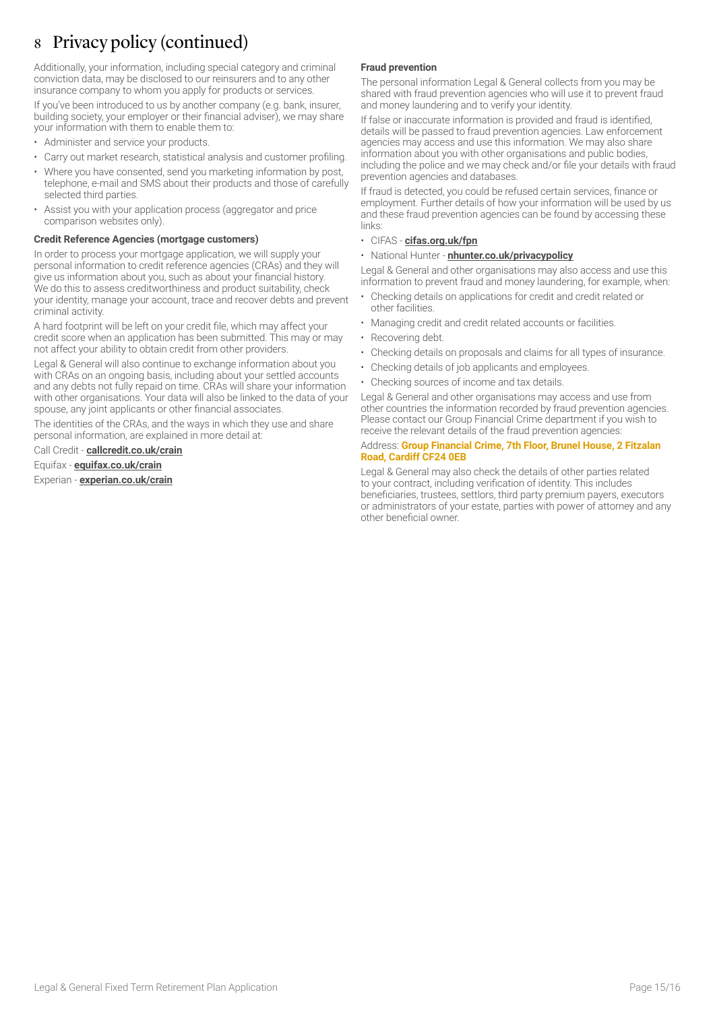Additionally, your information, including special category and criminal conviction data, may be disclosed to our reinsurers and to any other insurance company to whom you apply for products or services.

If you've been introduced to us by another company (e.g. bank, insurer, building society, your employer or their financial adviser), we may share your information with them to enable them to:

- Administer and service your products.
- Carry out market research, statistical analysis and customer profiling.
- Where you have consented, send you marketing information by post, telephone, e-mail and SMS about their products and those of carefully selected third parties.
- Assist you with your application process (aggregator and price comparison websites only).

### **Credit Reference Agencies (mortgage customers)**

In order to process your mortgage application, we will supply your personal information to credit reference agencies (CRAs) and they will give us information about you, such as about your financial history. We do this to assess creditworthiness and product suitability, check your identity, manage your account, trace and recover debts and prevent criminal activity.

A hard footprint will be left on your credit file, which may affect your credit score when an application has been submitted. This may or may not affect your ability to obtain credit from other providers.

Legal & General will also continue to exchange information about you with CRAs on an ongoing basis, including about your settled accounts and any debts not fully repaid on time. CRAs will share your information with other organisations. Your data will also be linked to the data of your spouse, any joint applicants or other financial associates.

The identities of the CRAs, and the ways in which they use and share personal information, are explained in more detail at:

Call Credit - **[callcredit.co.uk/crain](http://www.callcredit.co.uk/crain)**

Equifax - **[equifax.co.uk/crain](http://www.equifax.co.uk/crain)**

Experian - **[experian.co.uk/crain](http://www.experian.co.uk/crain)**

### **Fraud prevention**

The personal information Legal & General collects from you may be shared with fraud prevention agencies who will use it to prevent fraud and money laundering and to verify your identity.

If false or inaccurate information is provided and fraud is identified, details will be passed to fraud prevention agencies. Law enforcement agencies may access and use this information. We may also share information about you with other organisations and public bodies, including the police and we may check and/or file your details with fraud prevention agencies and databases.

If fraud is detected, you could be refused certain services, finance or employment. Further details of how your information will be used by us and these fraud prevention agencies can be found by accessing these links:

### • CIFAS - **[cifas.org.uk/fpn](http://cifas.org.uk/fpn)**

### • National Hunter - **[nhunter.co.uk/privacypolicy](http://nhunter.co.uk/privacypolicy)**

Legal & General and other organisations may also access and use this information to prevent fraud and money laundering, for example, when:

- Checking details on applications for credit and credit related or other facilities.
- Managing credit and credit related accounts or facilities.
- Recovering debt.
- Checking details on proposals and claims for all types of insurance.
- Checking details of job applicants and employees.
- Checking sources of income and tax details.

Legal & General and other organisations may access and use from other countries the information recorded by fraud prevention agencies. Please contact our Group Financial Crime department if you wish to receive the relevant details of the fraud prevention agencies:

### Address: **Group Financial Crime, 7th Floor, Brunel House, 2 Fitzalan Road, Cardiff CF24 0EB**

Legal & General may also check the details of other parties related to your contract, including verification of identity. This includes beneficiaries, trustees, settlors, third party premium payers, executors or administrators of your estate, parties with power of attorney and any other beneficial owner.